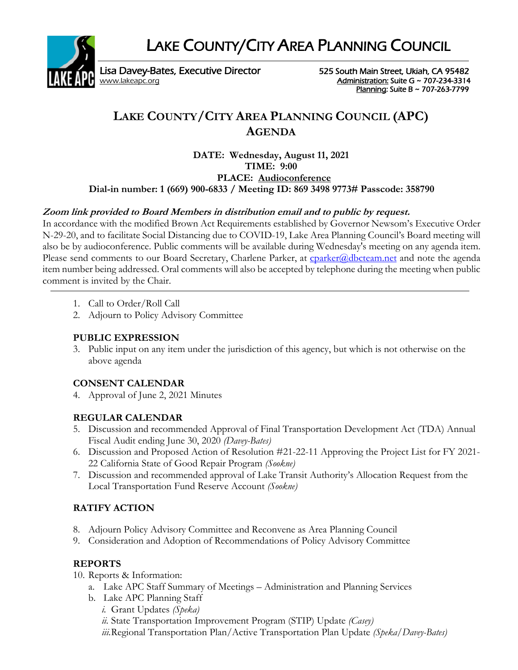LAKE COUNTY/CITY AREA PLANNING COUNCIL



Lisa Davey-Bates, Executive Director 525 South Main Street, Ukiah, CA 95482 [www.lakeapc.org](http://www.lakeapc.org/) **Administration: Suite G ~ 707-234-3314** 

Planning: Suite B ~ 707-263-7799

# **LAKE COUNTY/CITY AREA PLANNING COUNCIL (APC) AGENDA**

**DATE: Wednesday, August 11, 2021 TIME: 9:00 PLACE: Audioconference Dial-in number: 1 (669) 900-6833 / Meeting ID: 869 3498 9773# Passcode: 358790**

## **Zoom link provided to Board Members in distribution email and to public by request.**

In accordance with the modified Brown Act Requirements established by Governor Newsom's Executive Order N-29-20, and to facilitate Social Distancing due to COVID-19, Lake Area Planning Council's Board meeting will also be by audioconference. Public comments will be available during Wednesday's meeting on any agenda item. Please send comments to our Board Secretary, Charlene Parker, at [cparker@dbcteam.net](mailto:cparker@dbcteam.net) and note the agenda item number being addressed. Oral comments will also be accepted by telephone during the meeting when public comment is invited by the Chair.

- 1. Call to Order/Roll Call
- 2. Adjourn to Policy Advisory Committee

### **PUBLIC EXPRESSION**

3. Public input on any item under the jurisdiction of this agency, but which is not otherwise on the above agenda

### **CONSENT CALENDAR**

4. Approval of June 2, 2021 Minutes

# **REGULAR CALENDAR**

- 5. Discussion and recommended Approval of Final Transportation Development Act (TDA) Annual Fiscal Audit ending June 30, 2020 *(Davey-Bates)*
- 6. Discussion and Proposed Action of Resolution #21-22-11 Approving the Project List for FY 2021- 22 California State of Good Repair Program *(Sookne)*
- 7. Discussion and recommended approval of Lake Transit Authority's Allocation Request from the Local Transportation Fund Reserve Account *(Sookne)*

# **RATIFY ACTION**

- 8. Adjourn Policy Advisory Committee and Reconvene as Area Planning Council
- 9. Consideration and Adoption of Recommendations of Policy Advisory Committee

# **REPORTS**

- 10. Reports & Information:
	- a. Lake APC Staff Summary of Meetings Administration and Planning Services
	- b. Lake APC Planning Staff
		- *i.* Grant Updates *(Speka)*
		- *ii.* State Transportation Improvement Program (STIP) Update *(Casey)*

*iii.*Regional Transportation Plan/Active Transportation Plan Update *(Speka/Davey-Bates)*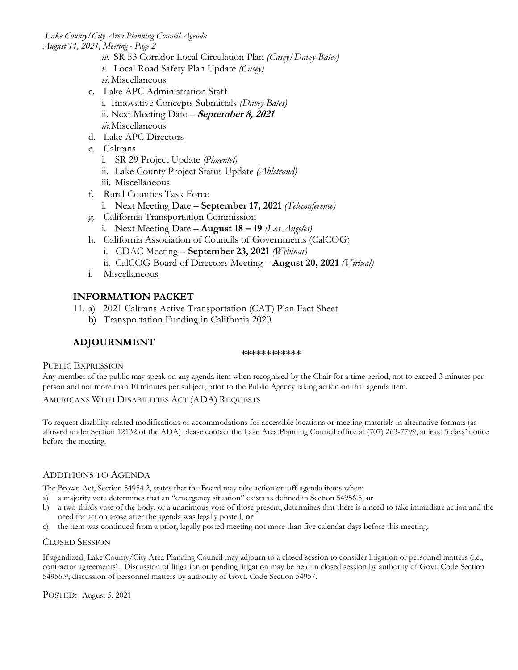*Lake County/City Area Planning Council Agenda August 11, 2021, Meeting - Page 2*

- *iv.* SR 53 Corridor Local Circulation Plan *(Casey/Davey-Bates)*
- *v.* Local Road Safety Plan Update *(Casey)*
- *vi.* Miscellaneous
- c. Lake APC Administration Staff i. Innovative Concepts Submittals *(Davey-Bates)* ii. Next Meeting Date – **September 8, <sup>2021</sup>** *iii.*Miscellaneous
- d. Lake APC Directors
- e. Caltrans
	- i. SR 29 Project Update *(Pimentel)*
	- ii. Lake County Project Status Update *(Ahlstrand)*
	- iii. Miscellaneous
- f. Rural Counties Task Force
	- i. Next Meeting Date **September 17, 2021** *(Teleconference)*
- g. California Transportation Commission
	- i. Next Meeting Date **August 18 – 19** *(Los Angeles)*
- h. California Association of Councils of Governments (CalCOG)
	- i. CDAC Meeting **September 23, 2021** *(Webinar)*
	- ii. CalCOG Board of Directors Meeting **August 20, 2021** *(Virtual)*
- i. Miscellaneous

### **INFORMATION PACKET**

- 11. a) 2021 Caltrans Active Transportation (CAT) Plan Fact Sheet
	- b) Transportation Funding in California 2020

### **ADJOURNMENT**

#### **\*\*\*\*\*\*\*\*\*\*\*\***

### PUBLIC EXPRESSION

Any member of the public may speak on any agenda item when recognized by the Chair for a time period, not to exceed 3 minutes per person and not more than 10 minutes per subject, prior to the Public Agency taking action on that agenda item.

### AMERICANS WITH DISABILITIES ACT (ADA) REQUESTS

To request disability-related modifications or accommodations for accessible locations or meeting materials in alternative formats (as allowed under Section 12132 of the ADA) please contact the Lake Area Planning Council office at (707) 263-7799, at least 5 days' notice before the meeting.

### ADDITIONS TO AGENDA

The Brown Act, Section 54954.2, states that the Board may take action on off-agenda items when:

- a) a majority vote determines that an "emergency situation" exists as defined in Section 54956.5, **or**
- b) a two-thirds vote of the body, or a unanimous vote of those present, determines that there is a need to take immediate action and the need for action arose after the agenda was legally posted, **or**
- c) the item was continued from a prior, legally posted meeting not more than five calendar days before this meeting.

### CLOSED SESSION

If agendized, Lake County/City Area Planning Council may adjourn to a closed session to consider litigation or personnel matters (i.e., contractor agreements). Discussion of litigation or pending litigation may be held in closed session by authority of Govt. Code Section 54956.9; discussion of personnel matters by authority of Govt. Code Section 54957.

POSTED: August 5, 2021